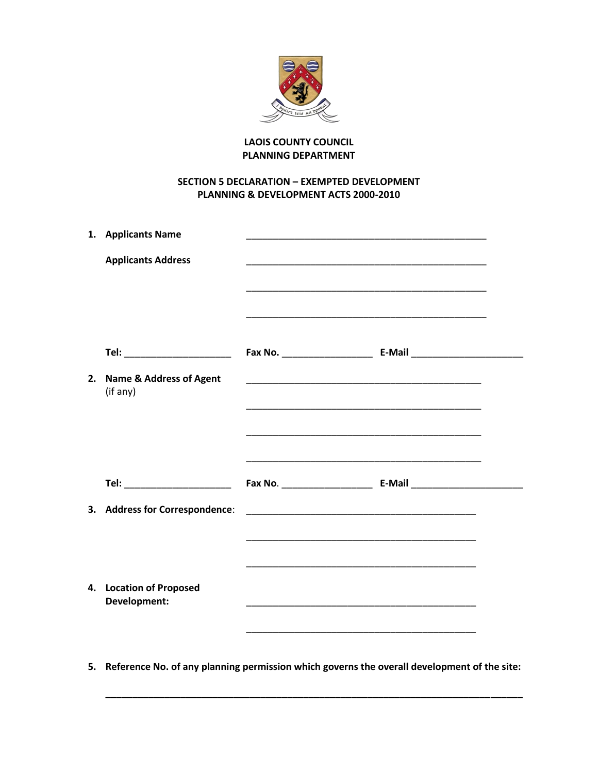

## **LAOIS COUNTY COUNCIL PLANNING DEPARTMENT**

## **SECTION 5 DECLARATION - EXEMPTED DEVELOPMENT** PLANNING & DEVELOPMENT ACTS 2000-2010

|    | 1. Applicants Name                             |                                                                                                                         |                                                                                                                      |
|----|------------------------------------------------|-------------------------------------------------------------------------------------------------------------------------|----------------------------------------------------------------------------------------------------------------------|
|    | <b>Applicants Address</b>                      | <u> 1989 - Johann John Stoff, deutscher Stoffen und der Stoffen und der Stoffen und der Stoffen und der Stoffen u</u>   | <u> 1989 - Johann John Stone, markin film yn y brenin y brenin y brenin y brenin y brenin y brenin y brenin y br</u> |
|    | Tel: ________________________                  |                                                                                                                         |                                                                                                                      |
| 2. | <b>Name &amp; Address of Agent</b><br>(if any) | <u> 1989 - Johann Harry Harry Harry Harry Harry Harry Harry Harry Harry Harry Harry Harry Harry Harry Harry Harry</u>   | <u> 1989 - Andrea Santa Alemania, amerikana amerikana amerikana amerikana amerikana amerikana amerikana amerikan</u> |
|    | Tel: ________________________                  | <u> 1989 - Johann John Stoff, deutscher Stoffen und der Stoffen und der Stoffen und der Stoffen und der Stoffen</u>     |                                                                                                                      |
|    | 3. Address for Correspondence:                 | <u> 1989 - Johann John Stoff, deutscher Stoff und der Stoff und der Stoff und der Stoff und der Stoff und der Stoff</u> |                                                                                                                      |
|    | 4. Location of Proposed<br><b>Development:</b> | <u> 1989 - Johann John Stoff, deutscher Stoffen und der Stoffen und der Stoffen und der Stoffen und der Stoffen un</u>  |                                                                                                                      |

5. Reference No. of any planning permission which governs the overall development of the site: